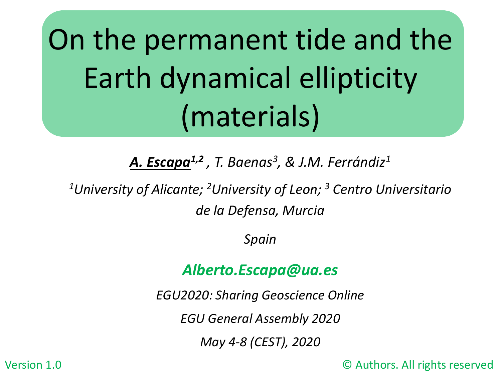On the permanent tide and the Earth dynamical ellipticity (materials)

*A. Escapa1,2 , T. Baenas3, & J.M. Ferrándiz1*

*1University of Alicante; 2University of Leon; 3 Centro Universitario de la Defensa, Murcia*

*Spain*

#### *Alberto.Escapa@ua.es*

*EGU2020: Sharing Geoscience Online*

*EGU General Assembly 2020* 

*May 4-8 (CEST), 2020*

Version 1.0 © Authors. All rights reserved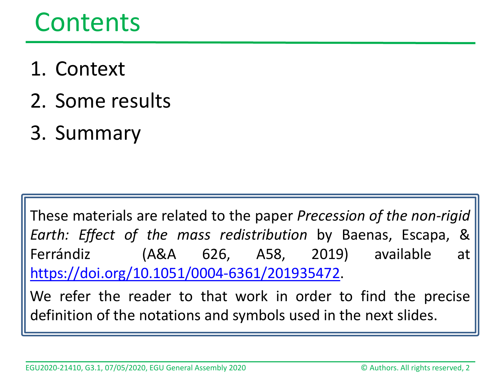#### Contents

- 1. Context
- 2. Some results
- 3. Summary

These materials are related to the paper *Precession of the non-rigid Earth: Effect of the mass redistribution* by Baenas, Escapa, & Ferrándiz (A&A 626, A58, 2019) available at [https://doi.org/10.1051/0004-6361/201935472.](https://doi.org/10.1051/0004-6361/201935472)

We refer the reader to that work in order to find the precise definition of the notations and symbols used in the next slides.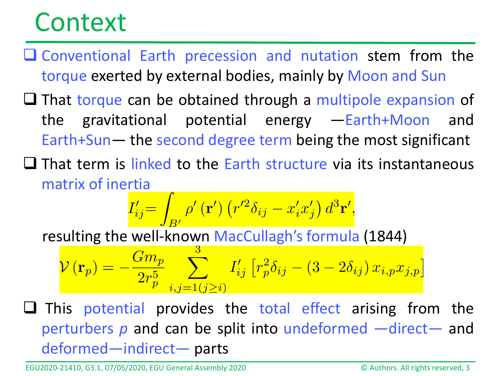- Conventional Earth precession and nutation stem from the torque exerted by external bodies, mainly by Moon and Sun
- $\Box$  That torque can be obtained through a multipole expansion of the gravitational potential energy —Earth+Moon and Earth+Sun— the second degree term being the most significant
- $\Box$  That term is linked to the Earth structure via its instantaneous matrix of inertia

$$
I'_{ij} = \int_{B'} \rho'(\mathbf{r}') \left( r'^2 \delta_{ij} - x'_i x'_j \right) d^3 \mathbf{r}',
$$

resulting the well-known MacCullagh's formula (1844)

$$
\mathcal{V}\left(\mathbf{r}_p\right)=-\frac{Gm_p}{2r_p^5}\sum_{i,j=1\left(j\geq i\right)}^5I'_{ij}\left[r_p^2\delta_{ij}-\left(3-2\delta_{ij}\right)x_{i,p}x_{j,p}\right]
$$

 $\square$  This potential provides the total effect arising from the perturbers *p* and can be split into undeformed —direct— and deformed—indirect— parts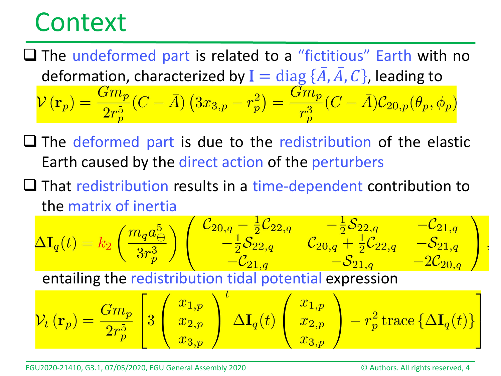$\Box$  The undeformed part is related to a "fictitious" Earth with no deformation, characterized by  $I = \text{diag} \{\overline{A}, \overline{A}, C\}$ , leading to  $\mathcal{V}(\mathbf{r}_p) = \frac{Gm_p}{2r_p^5}(C - \overline{A})\left(3x_{3,p} - r_p^2\right) = \frac{Gm_p}{r_p^3}(C - \overline{A})\mathcal{C}_{20,p}(\theta_p, \phi_p)$ 

- $\Box$  The deformed part is due to the redistribution of the elastic Earth caused by the direct action of the perturbers
- $\Box$  That redistribution results in a time-dependent contribution to the matrix of inertia

$$
\Delta I_q(t) = k_2 \left( \frac{m_q a_{\oplus}^5}{3r_p^3} \right) \left( \begin{array}{cc} \mathcal{C}_{20,q} - \frac{1}{2} \mathcal{C}_{22,q} & -\frac{1}{2} \mathcal{S}_{22,q} & -\mathcal{C}_{21,q} \\ -\frac{1}{2} \mathcal{S}_{22,q} & \mathcal{C}_{20,q} + \frac{1}{2} \mathcal{C}_{22,q} & -\mathcal{S}_{21,q} \\ -\mathcal{C}_{21,q} & -\mathcal{S}_{21,q} & -2\mathcal{C}_{20,q} \end{array} \right),
$$

entailing the redistribution tidal potential expression

$$
\mathcal{V}_t\left(\mathbf{r}_p\right)=\frac{Gm_p}{2r_p^5}\left[3\left(\begin{array}{c}x_{1,p}\\x_{2,p}\\\x_{3,p}\end{array}\right)^t\Delta\mathbf{I}_q(t)\left(\begin{array}{c}x_{1,p}\\\x_{2,p}\\\x_{3,p}\end{array}\right)-r_p^2\textrm{trace}\left\{\Delta\mathbf{I}_q(t)\right\}\right]
$$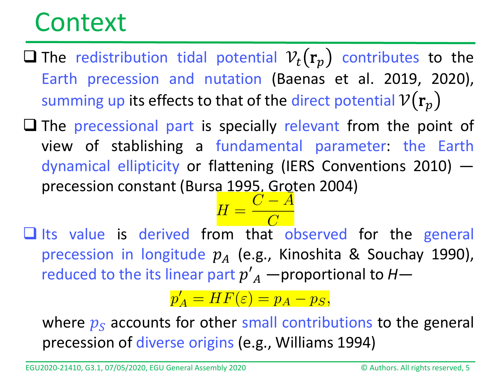- **The redistribution tidal potential**  $V_t(\mathbf{r}_p)$  **contributes to the** Earth precession and nutation (Baenas et al. 2019, 2020), summing up its effects to that of the direct potential  $V(r_n)$
- $\Box$  The precessional part is specially relevant from the point of view of stablishing a fundamental parameter: the Earth dynamical ellipticity or flattening (IERS Conventions 2010) precession constant (Bursa 1995, Groten 2004)<br> $H = \frac{C - \overline{A}}{C}$



 $\Box$  Its value is derived from that observed for the general precession in longitude  $p_A$  (e.g., Kinoshita & Souchay 1990), reduced to the its linear part  $p'_{A}$  —proportional to  $H$ —

 $p'_A = HF(\varepsilon) = p_A - p_S,$ 

where  $p_s$  accounts for other small contributions to the general precession of diverse origins (e.g., Williams 1994)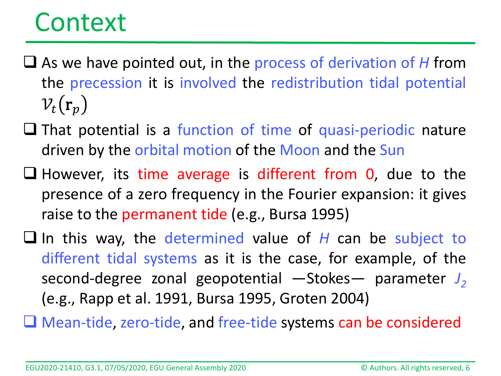- As we have pointed out, in the process of derivation of *H* from the precession it is involved the redistribution tidal potential  $v_t({\bf r}_p)$
- $\Box$  That potential is a function of time of quasi-periodic nature driven by the orbital motion of the Moon and the Sun
- $\Box$  However, its time average is different from 0, due to the presence of a zero frequency in the Fourier expansion: it gives raise to the permanent tide (e.g., Bursa 1995)
- In this way, the determined value of *H* can be subject to different tidal systems as it is the case, for example, of the second-degree zonal geopotential -Stokes- parameter  $J_2$ (e.g., Rapp et al. 1991, Bursa 1995, Groten 2004)
- Mean-tide, zero-tide, and free-tide systems can be considered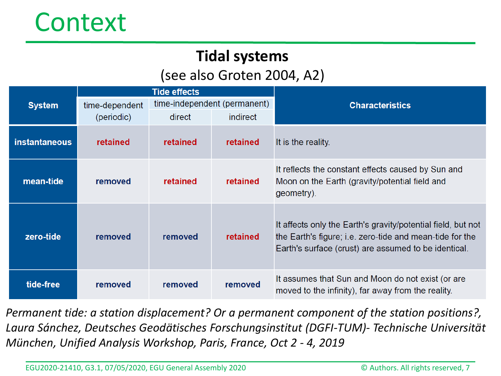#### **Tidal systems**

#### (see also Groten 2004, A2)

| <b>System</b>        | <b>Tide effects</b>          |                              |                 |                                                                                                                                                                                  |
|----------------------|------------------------------|------------------------------|-----------------|----------------------------------------------------------------------------------------------------------------------------------------------------------------------------------|
|                      | time-dependent<br>(periodic) | time-independent (permanent) |                 | <b>Characteristics</b>                                                                                                                                                           |
|                      |                              | direct                       | <i>indirect</i> |                                                                                                                                                                                  |
| <b>instantaneous</b> | retained                     | retained                     | retained        | It is the reality.                                                                                                                                                               |
| mean-tide            | removed                      | retained                     | <b>retained</b> | It reflects the constant effects caused by Sun and<br>Moon on the Earth (gravity/potential field and<br>geometry).                                                               |
| zero-tide            | removed                      | removed                      | retained        | It affects only the Earth's gravity/potential field, but not<br>the Earth's figure; i.e. zero-tide and mean-tide for the<br>Earth's surface (crust) are assumed to be identical. |
| tide-free            | removed                      | removed                      | removed         | It assumes that Sun and Moon do not exist (or are<br>moved to the infinity), far away from the reality.                                                                          |

*Permanent tide: a station displacement? Or a permanent component of the station positions?, Laura Sánchez, Deutsches Geodätisches Forschungsinstitut (DGFI-TUM)- Technische Universität München, Unified Analysis Workshop, Paris, France, Oct 2 - 4, 2019*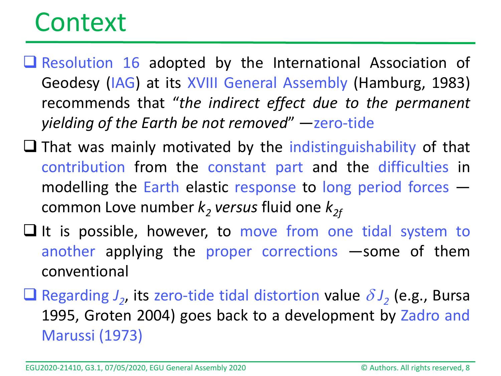- $\Box$  Resolution 16 adopted by the International Association of Geodesy (IAG) at its XVIII General Assembly (Hamburg, 1983) recommends that "*the indirect effect due to the permanent yielding of the Earth be not removed*" —zero-tide
- $\Box$  That was mainly motivated by the indistinguishability of that contribution from the constant part and the difficulties in modelling the Earth elastic response to long period forces common Love number  $k_2$  *versus* fluid one  $k_{2f}$
- $\Box$  It is possible, however, to move from one tidal system to another applying the proper corrections —some of them conventional
- **Q** Regarding  $J_2$ , its zero-tide tidal distortion value  $\delta J_2$  (e.g., Bursa 1995, Groten 2004) goes back to a development by Zadro and Marussi (1973)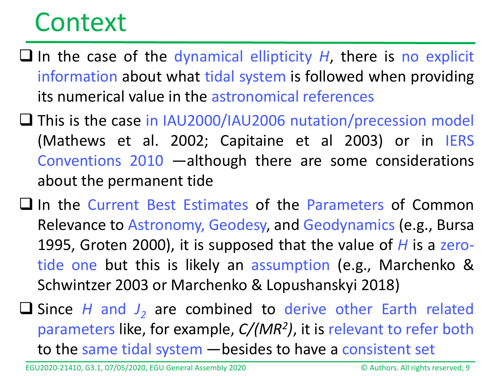- $\Box$  In the case of the dynamical ellipticity *H*, there is no explicit information about what tidal system is followed when providing its numerical value in the astronomical references
- □ This is the case in IAU2000/IAU2006 nutation/precession model (Mathews et al. 2002; Capitaine et al 2003) or in IERS Conventions 2010 —although there are some considerations about the permanent tide
- $\Box$  In the Current Best Estimates of the Parameters of Common Relevance to Astronomy, Geodesy, and Geodynamics (e.g., Bursa 1995, Groten 2000), it is supposed that the value of *H* is a zerotide one but this is likely an assumption (e.g., Marchenko & Schwintzer 2003 or Marchenko & Lopushanskyi 2018)
- **□** Since *H* and *J*<sub>2</sub> are combined to derive other Earth related parameters like, for example, *C/(MR2)*, it is relevant to refer both to the same tidal system —besides to have a consistent set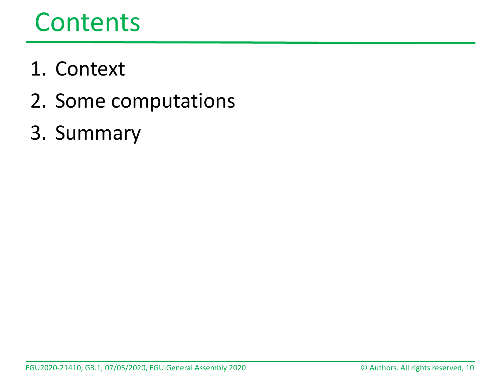### Contents

- 1. Context
- 2. Some computations
- 3. Summary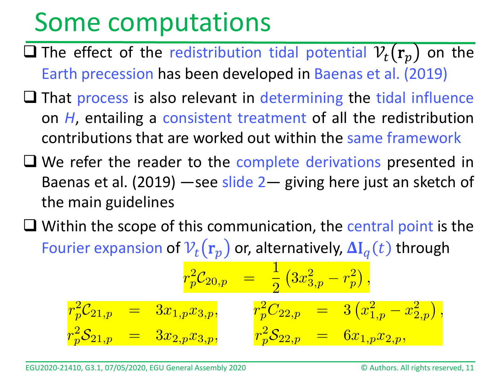- $\Box$  The effect of the redistribution tidal potential  $v_t(\mathbf{r}_n)$  on the Earth precession has been developed in Baenas et al. (2019)
- $\Box$  That process is also relevant in determining the tidal influence on *H*, entailing a consistent treatment of all the redistribution contributions that are worked out within the same framework
- $\Box$  We refer the reader to the complete derivations presented in Baenas et al. (2019) —see slide 2— giving here just an sketch of the main guidelines
- $\Box$  Within the scope of this communication, the central point is the Fourier expansion of  $V_t(\mathbf{r}_p)$  or, alternatively,  $\Delta I_q(t)$  through

$$
\begin{array}{rcl}\ r_p^2\mathcal{C}_{20,p} &=& \frac{1}{2}\left(3x_{3,p}^2-r_p^2\right),\\ r_p^2\mathcal{C}_{21,p} &=& 3x_{1,p}x_{3,p},\\ r_p^2\mathcal{S}_{21,p} &=& 3x_{2,p}x_{3,p}, \end{array}\quad \frac{r_p^2C_{22,p} &=& 3\left(x_{1,p}^2-x_{2,p}^2\right),\\ r_p^2\mathcal{S}_{22,p} &=& 6x_{1,p}x_{2,p},\end{array}
$$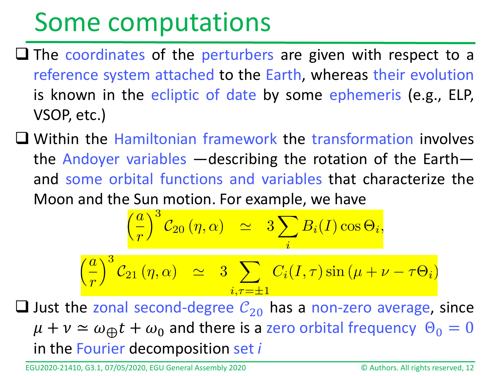- $\Box$  The coordinates of the perturbers are given with respect to a reference system attached to the Earth, whereas their evolution is known in the ecliptic of date by some ephemeris (e.g., ELP, VSOP, etc.)
- Within the Hamiltonian framework the transformation involves the Andoyer variables —describing the rotation of the Earth and some orbital functions and variables that characterize the Moon and the Sun motion. For example, we have

$$
\left(\frac{a}{r}\right)^3 \mathcal{C}_{20}(\eta, \alpha) \quad \simeq \quad 3 \sum_i B_i(I) \cos \Theta_i,
$$

$$
\left(\frac{a}{r}\right)^3 \mathcal{C}_{21}(\eta, \alpha) \quad \simeq \quad 3 \sum_{i, \tau = \pm 1} C_i(I, \tau) \sin \left(\mu + \nu - \tau \Theta_i\right)
$$

**Q** Just the zonal second-degree  $C_{20}$  has a non-zero average, since  $\mu + \nu \simeq \omega_{\text{th}}t + \omega_0$  and there is a zero orbital frequency  $\Theta_0 = 0$ in the Fourier decomposition set *i*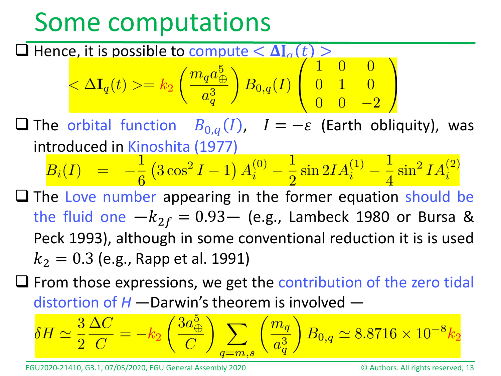# **Thence, it is possible to compute**  $\langle \Delta I_a(t) \rangle$ **<br>**  $\langle \Delta I_q(t) \rangle = k_2 \left( \frac{m_q a_\oplus^5}{a_q^3} \right) B_{0,q}(I) \left( \begin{array}{ccc} 1 & 0 & 0 \\ 0 & 1 & 0 \\ 0 & 0 & -2 \end{array} \right)$

**□** The orbital function  $B_{0,q}(I)$ ,  $I = -\varepsilon$  (Earth obliquity), was introduced in Kinoshita (1977)

$$
B_i(I) \;\; = \;\; - \frac{1}{6} \left( 3 \cos^2 I - 1 \right) A_i^{(0)} - \frac{1}{2} \sin 2I A_i^{(1)} - \frac{1}{4} \sin^2 I A_i^{(2)}
$$

 $\Box$  The Love number appearing in the former equation should be the fluid one  $-k_{2f} = 0.93$  (e.g., Lambeck 1980 or Bursa & Peck 1993), although in some conventional reduction it is is used  $k_2 = 0.3$  (e.g., Rapp et al. 1991)

 $\Box$  From those expressions, we get the contribution of the zero tidal distortion of *H* —Darwin's theorem is involved —

$$
\delta H \simeq \frac{3}{2} \frac{\Delta C}{C} = -k_2 \left( \frac{3a_{\oplus}^5}{C} \right) \sum_{q=m,s} \left( \frac{m_q}{a_q^3} \right) B_{0,q} \simeq 8.8716 \times 10^{-8} k_2
$$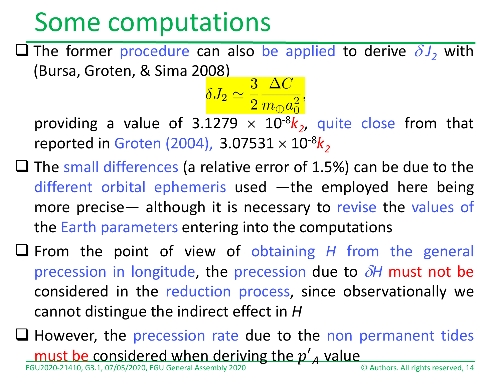$\Box$  The former procedure can also be applied to derive  $\delta J_2$  with (Bursa, Groten, & Sima 2008)<br> $\delta J_2 \simeq \frac{3}{2} \frac{\Delta C}{m_{\oplus} a_{\rm e}^2},$ 

providing a value of 3.1279  $\times$  10<sup>-8</sup> $k_2$ , quite close from that reported in Groten (2004),  $3.07531 \times 10^{-8}$ k<sub>2</sub>

 $\Box$  The small differences (a relative error of 1.5%) can be due to the different orbital ephemeris used —the employed here being more precise— although it is necessary to revise the values of the Earth parameters entering into the computations

 From the point of view of obtaining *H* from the general precession in longitude, the precession due to δ*H* must not be considered in the reduction process, since observationally we cannot distingue the indirect effect in *H*

EGU2020-21410, G3.1, 07/05/2020, EGU General Assembly 2020 © Authors. All rights reserved, 14  $\Box$  However, the precession rate due to the non permanent tides must be considered when deriving the  $p'$ <sub>A</sub> value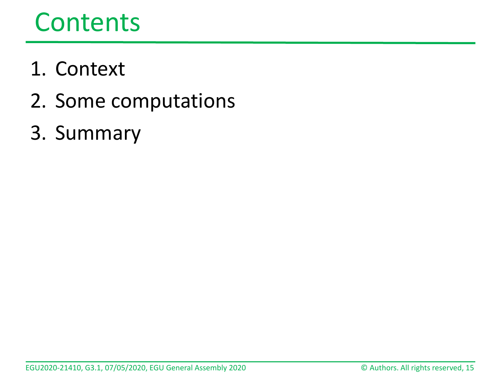## Contents

- 1. Context
- 2. Some computations
- 3. Summary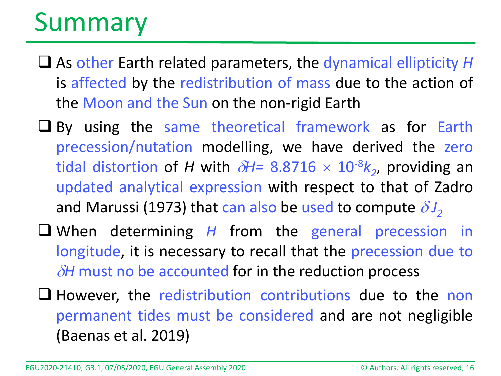# Summary

- As other Earth related parameters, the dynamical ellipticity *H* is affected by the redistribution of mass due to the action of the Moon and the Sun on the non-rigid Earth
- U By using the same theoretical framework as for Earth precession/nutation modelling, we have derived the zero tidal distortion of *H* with  $\delta$ *H*= 8.8716  $\times$  10<sup>-8</sup> $k_2$ , providing an updated analytical expression with respect to that of Zadro and Marussi (1973) that can also be used to compute  $\delta J_2$
- When determining *H* from the general precession in longitude, it is necessary to recall that the precession due to δ*H* must no be accounted for in the reduction process
- $\Box$  However, the redistribution contributions due to the non permanent tides must be considered and are not negligible (Baenas et al. 2019)